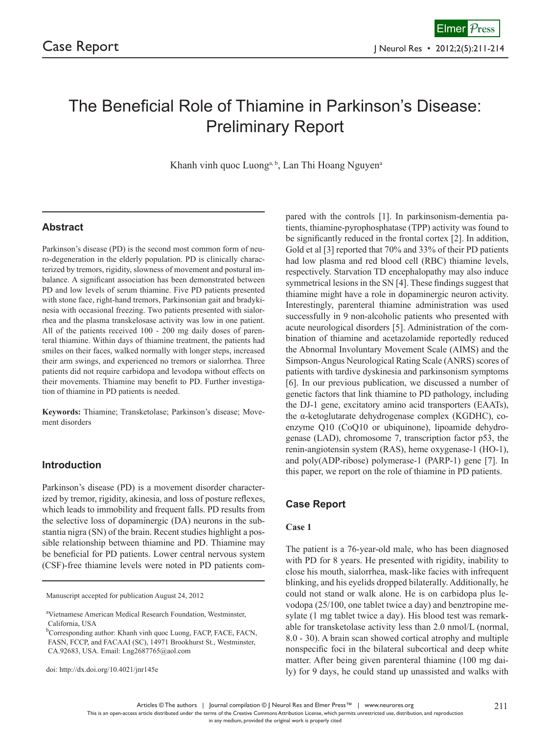# The Beneficial Role of Thiamine in Parkinson's Disease: Preliminary Report

Khanh vinh quoc Luong<sup>a, b</sup>, Lan Thi Hoang Nguyen<sup>a</sup>

# **Abstract**

Parkinson's disease (PD) is the second most common form of neuro-degeneration in the elderly population. PD is clinically characterized by tremors, rigidity, slowness of movement and postural imbalance. A significant association has been demonstrated between PD and low levels of serum thiamine. Five PD patients presented with stone face, right-hand tremors, Parkinsonian gait and bradykinesia with occasional freezing. Two patients presented with sialorrhea and the plasma transkelosase activity was low in one patient. All of the patients received 100 - 200 mg daily doses of parenteral thiamine. Within days of thiamine treatment, the patients had smiles on their faces, walked normally with longer steps, increased their arm swings, and experienced no tremors or sialorrhea. Three patients did not require carbidopa and levodopa without effects on their movements. Thiamine may benefit to PD. Further investigation of thiamine in PD patients is needed.

**Keywords:** Thiamine; Transketolase; Parkinson's disease; Movement disorders

## **Introduction**

Parkinson's disease (PD) is a movement disorder characterized by tremor, rigidity, akinesia, and loss of posture reflexes, which leads to immobility and frequent falls. PD results from the selective loss of dopaminergic (DA) neurons in the substantia nigra (SN) of the brain. Recent studies highlight a possible relationship between thiamine and PD. Thiamine may be beneficial for PD patients. Lower central nervous system (CSF)-free thiamine levels were noted in PD patients com-

Manuscript accepted for publication August 24, 2012

doi: http://dx.doi.org/10.4021/jnr145e

pared with the controls [1]. In parkinsonism-dementia patients, thiamine-pyrophosphatase (TPP) activity was found to be significantly reduced in the frontal cortex [2]. In addition, Gold et al [3] reported that 70% and 33% of their PD patients had low plasma and red blood cell (RBC) thiamine levels, respectively. Starvation TD encephalopathy may also induce symmetrical lesions in the SN [4]. These findings suggest that thiamine might have a role in dopaminergic neuron activity. Interestingly, parenteral thiamine administration was used successfully in 9 non-alcoholic patients who presented with acute neurological disorders [5]. Administration of the combination of thiamine and acetazolamide reportedly reduced the Abnormal Involuntary Movement Scale (AIMS) and the Simpson-Angus Neurological Rating Scale (ANRS) scores of patients with tardive dyskinesia and parkinsonism symptoms [6]. In our previous publication, we discussed a number of genetic factors that link thiamine to PD pathology, including the DJ-1 gene, excitatory amino acid transporters (EAATs), the α-ketoglutarate dehydrogenase complex (KGDHC), coenzyme Q10 (CoQ10 or ubiquinone), lipoamide dehydrogenase (LAD), chromosome 7, transcription factor p53, the renin-angiotensin system (RAS), heme oxygenase-1 (HO-1), and poly(ADP-ribose) polymerase-1 (PARP-1) gene [7]. In this paper, we report on the role of thiamine in PD patients.

## **Case Report**

#### **Case 1**

The patient is a 76-year-old male, who has been diagnosed with PD for 8 years. He presented with rigidity, inability to close his mouth, sialorrhea, mask-like facies with infrequent blinking, and his eyelids dropped bilaterally. Additionally, he could not stand or walk alone. He is on carbidopa plus levodopa (25/100, one tablet twice a day) and benztropine mesylate (1 mg tablet twice a day). His blood test was remarkable for transketolase activity less than 2.0 nmol/L (normal, 8.0 - 30). A brain scan showed cortical atrophy and multiple nonspecific foci in the bilateral subcortical and deep white matter. After being given parenteral thiamine (100 mg daily) for 9 days, he could stand up unassisted and walks with

Articles © The authors | Journal compilation © J Neurol Res and Elmer Press™ | www.neurores.org

This is an open-access article distributed under the terms of the Creative Commons Attribution License, which permits unrestricted use, distribution, and reproduction

211

a Vietnamese American Medical Research Foundation, Westminster, California, USA

<sup>&</sup>lt;sup>b</sup>Corresponding author: Khanh vinh quoc Luong, FACP, FACE, FACN, FASN, FCCP, and FACAAI (SC), 14971 Brookhurst St., Westminster, CA.92683, USA. Email: Lng2687765@aol.com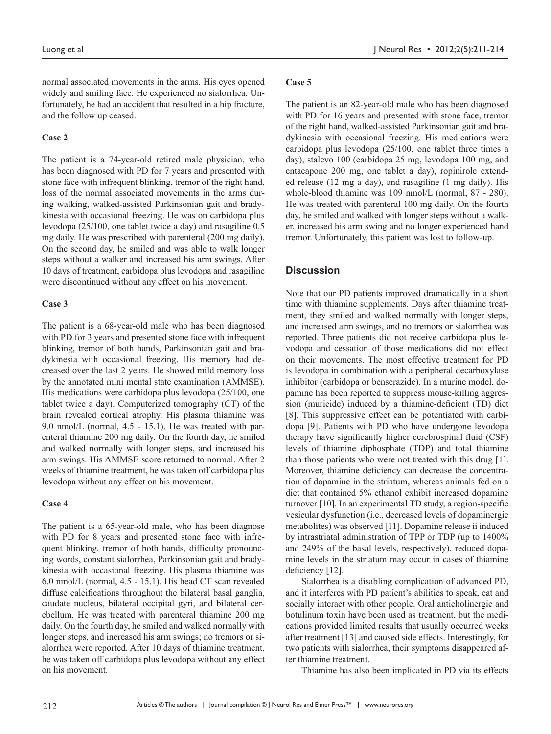normal associated movements in the arms. His eyes opened widely and smiling face. He experienced no sialorrhea. Unfortunately, he had an accident that resulted in a hip fracture, and the follow up ceased.

### **Case 2**

The patient is a 74-year-old retired male physician, who has been diagnosed with PD for 7 years and presented with stone face with infrequent blinking, tremor of the right hand, loss of the normal associated movements in the arms during walking, walked-assisted Parkinsonian gait and bradykinesia with occasional freezing. He was on carbidopa plus levodopa (25/100, one tablet twice a day) and rasagiline 0.5 mg daily. He was prescribed with parenteral (200 mg daily). On the second day, he smiled and was able to walk longer steps without a walker and increased his arm swings. After 10 days of treatment, carbidopa plus levodopa and rasagiline were discontinued without any effect on his movement.

#### **Case 3**

The patient is a 68-year-old male who has been diagnosed with PD for 3 years and presented stone face with infrequent blinking, tremor of both hands, Parkinsonian gait and bradykinesia with occasional freezing. His memory had decreased over the last 2 years. He showed mild memory loss by the annotated mini mental state examination (AMMSE). His medications were carbidopa plus levodopa (25/100, one tablet twice a day). Computerized tomography (CT) of the brain revealed cortical atrophy. His plasma thiamine was 9.0 nmol/L (normal, 4.5 - 15.1). He was treated with parenteral thiamine 200 mg daily. On the fourth day, he smiled and walked normally with longer steps, and increased his arm swings. His AMMSE score returned to normal. After 2 weeks of thiamine treatment, he was taken off carbidopa plus levodopa without any effect on his movement.

#### **Case 4**

The patient is a 65-year-old male, who has been diagnose with PD for 8 years and presented stone face with infrequent blinking, tremor of both hands, difficulty pronouncing words, constant sialorrhea, Parkinsonian gait and bradykinesia with occasional freezing. His plasma thiamine was 6.0 nmol/L (normal, 4.5 - 15.1). His head CT scan revealed diffuse calcifications throughout the bilateral basal ganglia, caudate nucleus, bilateral occipital gyri, and bilateral cerebellum. He was treated with parenteral thiamine 200 mg daily. On the fourth day, he smiled and walked normally with longer steps, and increased his arm swings; no tremors or sialorrhea were reported. After 10 days of thiamine treatment, he was taken off carbidopa plus levodopa without any effect on his movement.

#### **Case 5**

The patient is an 82-year-old male who has been diagnosed with PD for 16 years and presented with stone face, tremor of the right hand, walked-assisted Parkinsonian gait and bradykinesia with occasional freezing. His medications were carbidopa plus levodopa (25/100, one tablet three times a day), stalevo 100 (carbidopa 25 mg, levodopa 100 mg, and entacapone 200 mg, one tablet a day), ropinirole extended release (12 mg a day), and rasagiline (1 mg daily). His whole-blood thiamine was 109 nmol/L (normal, 87 - 280). He was treated with parenteral 100 mg daily. On the fourth day, he smiled and walked with longer steps without a walker, increased his arm swing and no longer experienced hand tremor. Unfortunately, this patient was lost to follow-up.

## **Discussion**

Note that our PD patients improved dramatically in a short time with thiamine supplements. Days after thiamine treatment, they smiled and walked normally with longer steps, and increased arm swings, and no tremors or sialorrhea was reported. Three patients did not receive carbidopa plus levodopa and cessation of those medications did not effect on their movements. The most effective treatment for PD is levodopa in combination with a peripheral decarboxylase inhibitor (carbidopa or benserazide). In a murine model, dopamine has been reported to suppress mouse-killing aggression (muricide) induced by a thiamine-deficient (TD) diet [8]. This suppressive effect can be potentiated with carbidopa [9]. Patients with PD who have undergone levodopa therapy have significantly higher cerebrospinal fluid (CSF) levels of thiamine diphosphate (TDP) and total thiamine than those patients who were not treated with this drug [1]. Moreover, thiamine deficiency can decrease the concentration of dopamine in the striatum, whereas animals fed on a diet that contained 5% ethanol exhibit increased dopamine turnover [10]. In an experimental TD study, a region-specific vesicular dysfunction (i.e., decreased levels of dopaminergic metabolites) was observed [11]. Dopamine release ii induced by intrastriatal administration of TPP or TDP (up to 1400% and 249% of the basal levels, respectively), reduced dopamine levels in the striatum may occur in cases of thiamine deficiency [12].

Sialorrhea is a disabling complication of advanced PD, and it interferes with PD patient's abilities to speak, eat and socially interact with other people. Oral anticholinergic and botulinum toxin have been used as treatment, but the medications provided limited results that usually occurred weeks after treatment [13] and caused side effects. Interestingly, for two patients with sialorrhea, their symptoms disappeared after thiamine treatment.

Thiamine has also been implicated in PD via its effects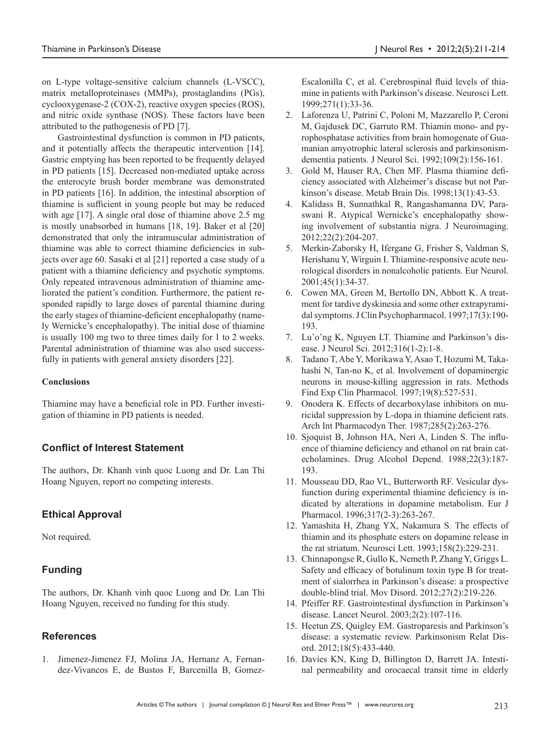on L-type voltage-sensitive calcium channels (L-VSCC), matrix metalloproteinases (MMPs), prostaglandins (PGs), cyclooxygenase-2 (COX-2), reactive oxygen species (ROS), and nitric oxide synthase (NOS). These factors have been attributed to the pathogenesis of PD [7].

Gastrointestinal dysfunction is common in PD patients, and it potentially affects the therapeutic intervention [14]. Gastric emptying has been reported to be frequently delayed in PD patients [15]. Decreased non-mediated uptake across the enterocyte brush border membrane was demonstrated in PD patients [16]. In addition, the intestinal absorption of thiamine is sufficient in young people but may be reduced with age [17]. A single oral dose of thiamine above 2.5 mg is mostly unabsorbed in humans [18, 19]. Baker et al [20] demonstrated that only the intramuscular administration of thiamine was able to correct thiamine deficiencies in subjects over age 60. Sasaki et al [21] reported a case study of a patient with a thiamine deficiency and psychotic symptoms. Only repeated intravenous administration of thiamine ameliorated the patient's condition. Furthermore, the patient responded rapidly to large doses of parental thiamine during the early stages of thiamine-deficient encephalopathy (namely Wernicke's encephalopathy). The initial dose of thiamine is usually 100 mg two to three times daily for 1 to 2 weeks. Parental administration of thiamine was also used successfully in patients with general anxiety disorders [22].

#### **Conclusions**

Thiamine may have a beneficial role in PD. Further investigation of thiamine in PD patients is needed.

## **Conflict of Interest Statement**

The authors, Dr. Khanh vinh quoc Luong and Dr. Lan Thi Hoang Nguyen, report no competing interests.

## **Ethical Approval**

Not required.

## **Funding**

The authors, Dr. Khanh vinh quoc Luong and Dr. Lan Thi Hoang Nguyen, received no funding for this study.

## **References**

1. Jimenez-Jimenez FJ, Molina JA, Hernanz A, Fernandez-Vivancos E, de Bustos F, Barcenilla B, GomezEscalonilla C, et al. Cerebrospinal fluid levels of thiamine in patients with Parkinson's disease. Neurosci Lett. 1999;271(1):33-36.

- 2. Laforenza U, Patrini C, Poloni M, Mazzarello P, Ceroni M, Gajdusek DC, Garruto RM. Thiamin mono- and pyrophosphatase activities from brain homogenate of Guamanian amyotrophic lateral sclerosis and parkinsonismdementia patients. J Neurol Sci. 1992;109(2):156-161.
- 3. Gold M, Hauser RA, Chen MF. Plasma thiamine deficiency associated with Alzheimer's disease but not Parkinson's disease. Metab Brain Dis. 1998;13(1):43-53.
- 4. Kalidass B, Sunnathkal R, Rangashamanna DV, Paraswani R. Atypical Wernicke's encephalopathy showing involvement of substantia nigra. J Neuroimaging. 2012;22(2):204-207.
- 5. Merkin-Zaborsky H, Ifergane G, Frisher S, Valdman S, Herishanu Y, Wirguin I. Thiamine-responsive acute neurological disorders in nonalcoholic patients. Eur Neurol. 2001;45(1):34-37.
- 6. Cowen MA, Green M, Bertollo DN, Abbott K. A treatment for tardive dyskinesia and some other extrapyramidal symptoms. J Clin Psychopharmacol. 1997;17(3):190- 193.
- 7. Lu'o'ng K, Nguyen LT. Thiamine and Parkinson's disease. J Neurol Sci. 2012;316(1-2):1-8.
- 8. Tadano T, Abe Y, Morikawa Y, Asao T, Hozumi M, Takahashi N, Tan-no K, et al. Involvement of dopaminergic neurons in mouse-killing aggression in rats. Methods Find Exp Clin Pharmacol. 1997;19(8):527-531.
- 9. Onodera K. Effects of decarboxylase inhibitors on muricidal suppression by L-dopa in thiamine deficient rats. Arch Int Pharmacodyn Ther. 1987;285(2):263-276.
- 10. Sjoquist B, Johnson HA, Neri A, Linden S. The influence of thiamine deficiency and ethanol on rat brain catecholamines. Drug Alcohol Depend. 1988;22(3):187- 193.
- 11. Mousseau DD, Rao VL, Butterworth RF. Vesicular dysfunction during experimental thiamine deficiency is indicated by alterations in dopamine metabolism. Eur J Pharmacol. 1996;317(2-3):263-267.
- 12. Yamashita H, Zhang YX, Nakamura S. The effects of thiamin and its phosphate esters on dopamine release in the rat striatum. Neurosci Lett. 1993;158(2):229-231.
- 13. Chinnapongse R, Gullo K, Nemeth P, Zhang Y, Griggs L. Safety and efficacy of botulinum toxin type B for treatment of sialorrhea in Parkinson's disease: a prospective double-blind trial. Mov Disord. 2012;27(2):219-226.
- 14. Pfeiffer RF. Gastrointestinal dysfunction in Parkinson's disease. Lancet Neurol. 2003;2(2):107-116.
- 15. Heetun ZS, Quigley EM. Gastroparesis and Parkinson's disease: a systematic review. Parkinsonism Relat Disord. 2012;18(5):433-440.
- 16. Davies KN, King D, Billington D, Barrett JA. Intestinal permeability and orocaecal transit time in elderly